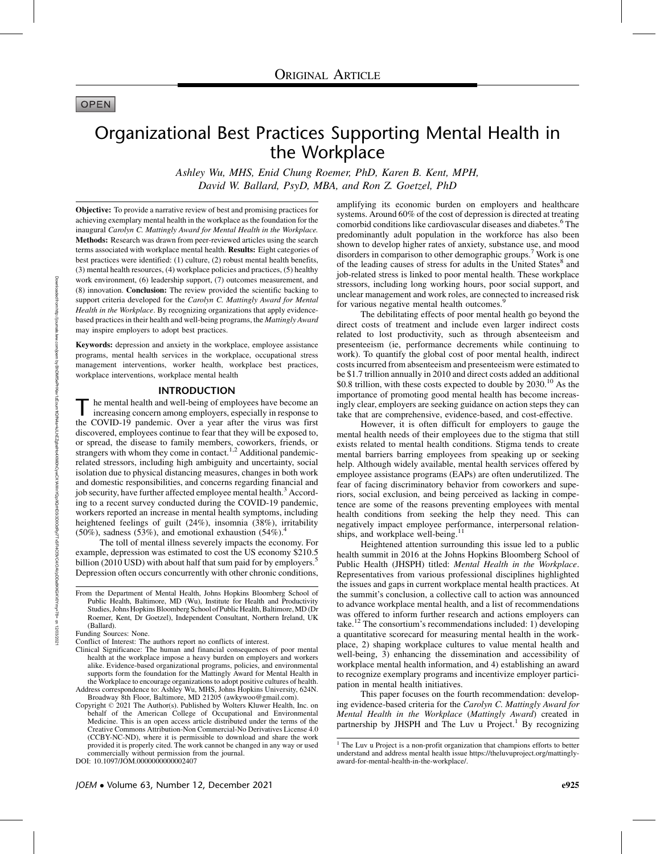# **OPEN**

# Organizational Best Practices Supporting Mental Health in the Workplace

Ashley Wu, MHS, Enid Chung Roemer, PhD, Karen B. Kent, MPH, David W. Ballard, PsyD, MBA, and Ron Z. Goetzel, PhD

Objective: To provide a narrative review of best and promising practices for achieving exemplary mental health in the workplace as the foundation for the inaugural Carolyn C. Mattingly Award for Mental Health in the Workplace. Methods: Research was drawn from peer-reviewed articles using the search terms associated with workplace mental health. Results: Eight categories of best practices were identified: (1) culture, (2) robust mental health benefits, (3) mental health resources, (4) workplace policies and practices, (5) healthy work environment, (6) leadership support, (7) outcomes measurement, and (8) innovation. Conclusion: The review provided the scientific backing to support criteria developed for the Carolyn C. Mattingly Award for Mental Health in the Workplace. By recognizing organizations that apply evidencebased practices in their health and well-being programs, the Mattingly Award may inspire employers to adopt best practices.

Keywords: depression and anxiety in the workplace, employee assistance programs, mental health services in the workplace, occupational stress management interventions, worker health, workplace best practices, workplace interventions, workplace mental health

#### INTRODUCTION

The mental health and well-being of employees have become an increasing concern among employers, especially in response to the COVID-19 pandemic. Over a year after the virus was first discovered, employees continue to fear that they will be exposed to, or spread, the disease to family members, coworkers, friends, or strangers with whom they come in contact.<sup>1,2</sup> Additional pandemicrelated stressors, including high ambiguity and uncertainty, social isolation due to physical distancing measures, changes in both work and domestic responsibilities, and concerns regarding financial and job security, have further affected employee mental health.<sup>3</sup> According to a recent survey conducted during the COVID-19 pandemic, workers reported an increase in mental health symptoms, including heightened feelings of guilt (24%), insomnia (38%), irritability (50%), sadness (53%), and emotional exhaustion (54%).<sup>4</sup>

The toll of mental illness severely impacts the economy. For example, depression was estimated to cost the US economy \$210.5 billion (2010 USD) with about half that sum paid for by employers.<sup>5</sup> Depression often occurs concurrently with other chronic conditions, amplifying its economic burden on employers and healthcare systems. Around 60% of the cost of depression is directed at treating comorbid conditions like cardiovascular diseases and diabetes.<sup>6</sup> The predominantly adult population in the workforce has also been shown to develop higher rates of anxiety, substance use, and mood disorders in comparison to other demographic groups.<sup>7</sup> Work is one of the leading causes of stress for adults in the United States<sup>8</sup> and job-related stress is linked to poor mental health. These workplace stressors, including long working hours, poor social support, and unclear management and work roles, are connected to increased risk for various negative mental health outcomes.<sup>9</sup>

The debilitating effects of poor mental health go beyond the direct costs of treatment and include even larger indirect costs related to lost productivity, such as through absenteeism and presenteeism (ie, performance decrements while continuing to work). To quantify the global cost of poor mental health, indirect costs incurred from absenteeism and presenteeism were estimated to be \$1.7 trillion annually in 2010 and direct costs added an additional \$0.8 trillion, with these costs expected to double by  $2030$ .<sup>10</sup> As the importance of promoting good mental health has become increasingly clear, employers are seeking guidance on action steps they can take that are comprehensive, evidence-based, and cost-effective.

However, it is often difficult for employers to gauge the mental health needs of their employees due to the stigma that still exists related to mental health conditions. Stigma tends to create mental barriers barring employees from speaking up or seeking help. Although widely available, mental health services offered by employee assistance programs (EAPs) are often underutilized. The fear of facing discriminatory behavior from coworkers and superiors, social exclusion, and being perceived as lacking in competence are some of the reasons preventing employees with mental health conditions from seeking the help they need. This can negatively impact employee performance, interpersonal relationships, and workplace well-being. $^{11}$ 

Heightened attention surrounding this issue led to a public health summit in 2016 at the Johns Hopkins Bloomberg School of Public Health (JHSPH) titled: Mental Health in the Workplace. Representatives from various professional disciplines highlighted the issues and gaps in current workplace mental health practices. At the summit's conclusion, a collective call to action was announced to advance workplace mental health, and a list of recommendations was offered to inform further research and actions employers can take.<sup>12</sup> The consortium's recommendations included: 1) developing a quantitative scorecard for measuring mental health in the workplace, 2) shaping workplace cultures to value mental health and well-being, 3) enhancing the dissemination and accessibility of workplace mental health information, and 4) establishing an award to recognize exemplary programs and incentivize employer participation in mental health initiatives.

This paper focuses on the fourth recommendation: developing evidence-based criteria for the Carolyn C. Mattingly Award for Mental Health in the Workplace (Mattingly Award) created in partnership by JHSPH and The Luv u Project.<sup>1</sup> By recognizing

From the Department of Mental Health, Johns Hopkins Bloomberg School of Public Health, Baltimore, MD (Wu), Institute for Health and Productivity Studies, Johns Hopkins Bloomberg School of Public Health, Baltimore,MD (Dr Roemer, Kent, Dr Goetzel), Independent Consultant, Northern Ireland, UK (Ballard).

Funding Sources: None.

Conflict of Interest: The authors report no conflicts of interest.

Clinical Significance: The human and financial consequences of poor mental health at the workplace impose a heavy burden on employers and workers alike. Evidence-based organizational programs, policies, and environmental supports form the foundation for the Mattingly Award for Mental Health in the Workplace to encourage organizations to adopt positive cultures of health.

Address correspondence to: Ashley Wu, MHS, Johns Hopkins University, 624N. Broadway 8th Floor, Baltimore, MD 21205 (awkywoo@gmail.com).

Copyright © 2021 The Author(s). Published by Wolters Kluwer Health, Inc. on behalf of the American College of Occupational and Environmental Medicine. This is an open access article distributed under the terms of the Creative Commons Attribution-Non Commercial-No Derivatives License 4.0 (CCBY-NC-ND), where it is permissible to download and share the work provided it is properly cited. The work cannot be changed in any way or used commercially without permission from the journal.

DOI: 10.1097/JOM.0000000000002407

<sup>&</sup>lt;sup>1</sup> The Luv u Project is a non-profit organization that champions efforts to better understand and address mental health issue https://theluvuproject.org/mattinglyaward-for-mental-health-in-the-workplace/.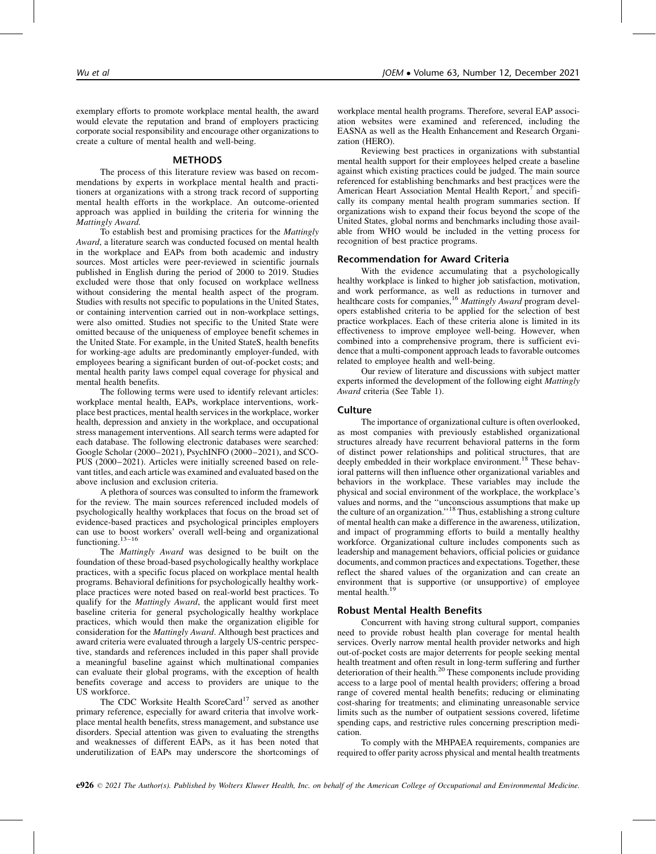exemplary efforts to promote workplace mental health, the award would elevate the reputation and brand of employers practicing corporate social responsibility and encourage other organizations to create a culture of mental health and well-being.

# METHODS

The process of this literature review was based on recommendations by experts in workplace mental health and practitioners at organizations with a strong track record of supporting mental health efforts in the workplace. An outcome-oriented approach was applied in building the criteria for winning the Mattingly Award.

To establish best and promising practices for the Mattingly Award, a literature search was conducted focused on mental health in the workplace and EAPs from both academic and industry sources. Most articles were peer-reviewed in scientific journals published in English during the period of 2000 to 2019. Studies excluded were those that only focused on workplace wellness without considering the mental health aspect of the program. Studies with results not specific to populations in the United States, or containing intervention carried out in non-workplace settings, were also omitted. Studies not specific to the United State were omitted because of the uniqueness of employee benefit schemes in the United State. For example, in the United StateS, health benefits for working-age adults are predominantly employer-funded, with employees bearing a significant burden of out-of-pocket costs; and mental health parity laws compel equal coverage for physical and mental health benefits.

The following terms were used to identify relevant articles: workplace mental health, EAPs, workplace interventions, workplace best practices, mental health services in the workplace, worker health, depression and anxiety in the workplace, and occupational stress management interventions. All search terms were adapted for each database. The following electronic databases were searched: Google Scholar (2000–2021), PsychINFO (2000–2021), and SCO-PUS (2000–2021). Articles were initially screened based on relevant titles, and each article was examined and evaluated based on the above inclusion and exclusion criteria.

A plethora of sources was consulted to inform the framework for the review. The main sources referenced included models of psychologically healthy workplaces that focus on the broad set of evidence-based practices and psychological principles employers can use to boost workers' overall well-being and organizational functioning.  $13-16$ 

The Mattingly Award was designed to be built on the foundation of these broad-based psychologically healthy workplace practices, with a specific focus placed on workplace mental health programs. Behavioral definitions for psychologically healthy workplace practices were noted based on real-world best practices. To qualify for the Mattingly Award, the applicant would first meet baseline criteria for general psychologically healthy workplace practices, which would then make the organization eligible for consideration for the Mattingly Award. Although best practices and award criteria were evaluated through a largely US-centric perspective, standards and references included in this paper shall provide a meaningful baseline against which multinational companies can evaluate their global programs, with the exception of health benefits coverage and access to providers are unique to the US workforce.

The CDC Worksite Health ScoreCard<sup>17</sup> served as another primary reference, especially for award criteria that involve workplace mental health benefits, stress management, and substance use disorders. Special attention was given to evaluating the strengths and weaknesses of different EAPs, as it has been noted that underutilization of EAPs may underscore the shortcomings of workplace mental health programs. Therefore, several EAP association websites were examined and referenced, including the EASNA as well as the Health Enhancement and Research Organization (HERO).

Reviewing best practices in organizations with substantial mental health support for their employees helped create a baseline against which existing practices could be judged. The main source referenced for establishing benchmarks and best practices were the American Heart Association Mental Health Report,<sup>7</sup> and specifically its company mental health program summaries section. If organizations wish to expand their focus beyond the scope of the United States, global norms and benchmarks including those available from WHO would be included in the vetting process for recognition of best practice programs.

# Recommendation for Award Criteria

With the evidence accumulating that a psychologically healthy workplace is linked to higher job satisfaction, motivation, and work performance, as well as reductions in turnover and healthcare costs for companies,<sup>16</sup> Mattingly Award program developers established criteria to be applied for the selection of best practice workplaces. Each of these criteria alone is limited in its effectiveness to improve employee well-being. However, when combined into a comprehensive program, there is sufficient evidence that a multi-component approach leads to favorable outcomes related to employee health and well-being.

Our review of literature and discussions with subject matter experts informed the development of the following eight Mattingly Award criteria (See Table 1).

# **Culture**

The importance of organizational culture is often overlooked, as most companies with previously established organizational structures already have recurrent behavioral patterns in the form of distinct power relationships and political structures, that are deeply embedded in their workplace environment.<sup>18</sup> These behavioral patterns will then influence other organizational variables and behaviors in the workplace. These variables may include the physical and social environment of the workplace, the workplace's values and norms, and the ''unconscious assumptions that make up the culture of an organization.''18 Thus, establishing a strong culture of mental health can make a difference in the awareness, utilization, and impact of programming efforts to build a mentally healthy workforce. Organizational culture includes components such as leadership and management behaviors, official policies or guidance documents, and common practices and expectations. Together, these reflect the shared values of the organization and can create an environment that is supportive (or unsupportive) of employee mental health.<sup>19</sup>

#### Robust Mental Health Benefits

Concurrent with having strong cultural support, companies need to provide robust health plan coverage for mental health services. Overly narrow mental health provider networks and high out-of-pocket costs are major deterrents for people seeking mental health treatment and often result in long-term suffering and further deterioration of their health.<sup>20</sup> These components include providing access to a large pool of mental health providers; offering a broad range of covered mental health benefits; reducing or eliminating cost-sharing for treatments; and eliminating unreasonable service limits such as the number of outpatient sessions covered, lifetime spending caps, and restrictive rules concerning prescription medication.

To comply with the MHPAEA requirements, companies are required to offer parity across physical and mental health treatments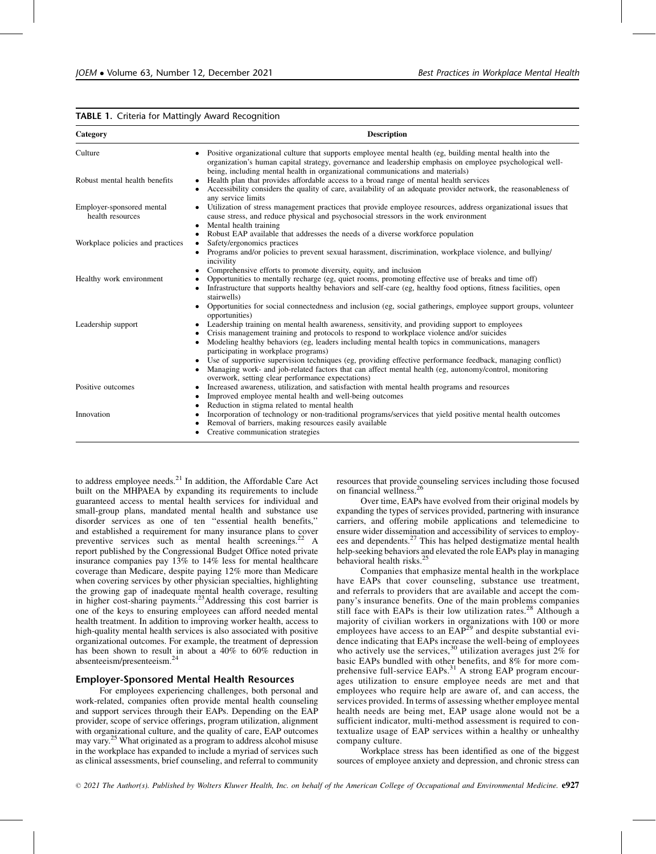|  |  |  | TABLE 1. Criteria for Mattingly Award Recognition |
|--|--|--|---------------------------------------------------|
|  |  |  |                                                   |

| Category                                      | <b>Description</b>                                                                                                                                                                                                                                                                                                                                                             |
|-----------------------------------------------|--------------------------------------------------------------------------------------------------------------------------------------------------------------------------------------------------------------------------------------------------------------------------------------------------------------------------------------------------------------------------------|
| Culture                                       | Positive organizational culture that supports employee mental health (eg, building mental health into the<br>organization's human capital strategy, governance and leadership emphasis on employee psychological well-<br>being, including mental health in organizational communications and materials)                                                                       |
| Robust mental health benefits                 | Health plan that provides affordable access to a broad range of mental health services<br>Accessibility considers the quality of care, availability of an adequate provider network, the reasonableness of<br>any service limits                                                                                                                                               |
| Employer-sponsored mental<br>health resources | Utilization of stress management practices that provide employee resources, address organizational issues that<br>٠<br>cause stress, and reduce physical and psychosocial stressors in the work environment<br>Mental health training<br>$\bullet$                                                                                                                             |
| Workplace policies and practices              | Robust EAP available that addresses the needs of a diverse workforce population<br>$\bullet$<br>Safety/ergonomics practices<br>$\bullet$                                                                                                                                                                                                                                       |
|                                               | Programs and/or policies to prevent sexual harassment, discrimination, workplace violence, and bullying/<br>incivility<br>Comprehensive efforts to promote diversity, equity, and inclusion                                                                                                                                                                                    |
| Healthy work environment                      | Opportunities to mentally recharge (eg, quiet rooms, promoting effective use of breaks and time off)<br>Infrastructure that supports healthy behaviors and self-care (eg, healthy food options, fitness facilities, open<br>٠<br>stairwells)<br>Opportunities for social connectedness and inclusion (eg, social gatherings, employee support groups, volunteer                |
| Leadership support                            | opportunities)<br>Leadership training on mental health awareness, sensitivity, and providing support to employees<br>٠<br>Crisis management training and protocols to respond to workplace violence and/or suicides<br>Modeling healthy behaviors (eg, leaders including mental health topics in communications, managers<br>$\bullet$<br>participating in workplace programs) |
|                                               | • Use of supportive supervision techniques (eg, providing effective performance feedback, managing conflict)<br>Managing work- and job-related factors that can affect mental health (eg, autonomy/control, monitoring<br>overwork, setting clear performance expectations)                                                                                                    |
| Positive outcomes                             | Increased awareness, utilization, and satisfaction with mental health programs and resources<br>٠<br>Improved employee mental health and well-being outcomes<br>٠<br>Reduction in stigma related to mental health<br>٠                                                                                                                                                         |
| Innovation                                    | Incorporation of technology or non-traditional programs/services that yield positive mental health outcomes<br>٠<br>Removal of barriers, making resources easily available<br>Creative communication strategies                                                                                                                                                                |

to address employee needs.<sup>21</sup> In addition, the Affordable Care Act built on the MHPAEA by expanding its requirements to include guaranteed access to mental health services for individual and small-group plans, mandated mental health and substance use disorder services as one of ten ''essential health benefits,'' and established a requirement for many insurance plans to cover preventive services such as mental health screenings.<sup>22</sup> A report published by the Congressional Budget Office noted private insurance companies pay 13% to 14% less for mental healthcare coverage than Medicare, despite paying 12% more than Medicare when covering services by other physician specialties, highlighting the growing gap of inadequate mental health coverage, resulting in higher cost-sharing payments.23Addressing this cost barrier is one of the keys to ensuring employees can afford needed mental health treatment. In addition to improving worker health, access to high-quality mental health services is also associated with positive organizational outcomes. For example, the treatment of depression has been shown to result in about a 40% to 60% reduction in absenteeism/presenteeism.<sup>24</sup>

# Employer-Sponsored Mental Health Resources

For employees experiencing challenges, both personal and work-related, companies often provide mental health counseling and support services through their EAPs. Depending on the EAP provider, scope of service offerings, program utilization, alignment with organizational culture, and the quality of care, EAP outcomes may vary.25 What originated as a program to address alcohol misuse in the workplace has expanded to include a myriad of services such as clinical assessments, brief counseling, and referral to community resources that provide counseling services including those focused on financial wellness.<sup>26</sup>

Over time, EAPs have evolved from their original models by expanding the types of services provided, partnering with insurance carriers, and offering mobile applications and telemedicine to ensure wider dissemination and accessibility of services to employees and dependents. $27$  This has helped destigmatize mental health help-seeking behaviors and elevated the role EAPs play in managing behavioral health risks.<sup>25</sup>

Companies that emphasize mental health in the workplace have EAPs that cover counseling, substance use treatment, and referrals to providers that are available and accept the company's insurance benefits. One of the main problems companies still face with EAPs is their low utilization rates.<sup>28</sup> Although a majority of civilian workers in organizations with 100 or more employees have access to an  $EAP<sup>29</sup>$  and despite substantial evidence indicating that EAPs increase the well-being of employees who actively use the services,<sup>30</sup> utilization averages just 2% for basic EAPs bundled with other benefits, and 8% for more comprehensive full-service EAPs.<sup>31</sup> A strong EAP program encourages utilization to ensure employee needs are met and that employees who require help are aware of, and can access, the services provided. In terms of assessing whether employee mental health needs are being met, EAP usage alone would not be a sufficient indicator, multi-method assessment is required to contextualize usage of EAP services within a healthy or unhealthy company culture.

Workplace stress has been identified as one of the biggest sources of employee anxiety and depression, and chronic stress can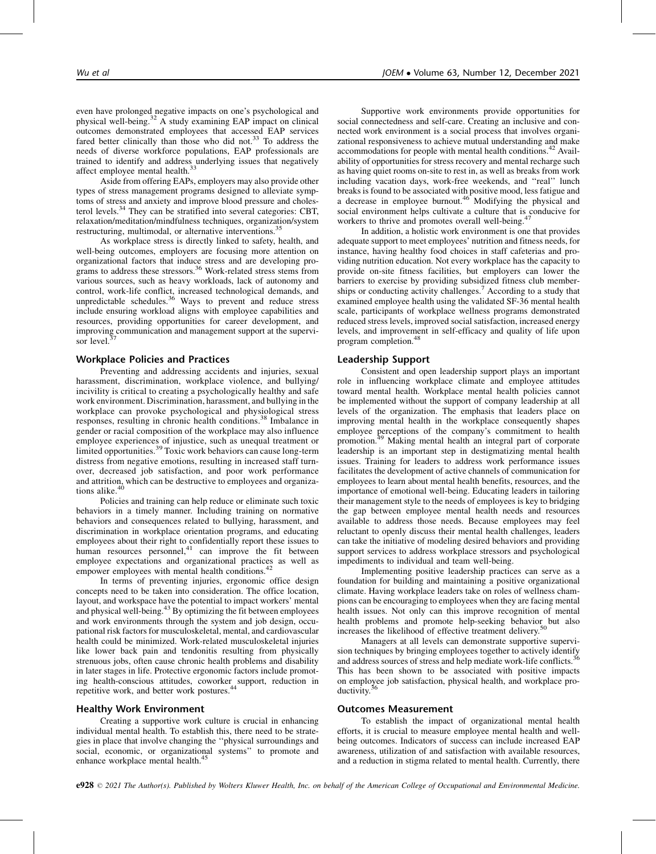even have prolonged negative impacts on one's psychological and physical well-being.<sup>32</sup> A study examining EAP impact on clinical outcomes demonstrated employees that accessed EAP services fared better clinically than those who did not. $33$  To address the needs of diverse workforce populations, EAP professionals are trained to identify and address underlying issues that negatively affect employee mental health.<sup>33</sup>

Aside from offering EAPs, employers may also provide other types of stress management programs designed to alleviate symptoms of stress and anxiety and improve blood pressure and cholesterol levels.34 They can be stratified into several categories: CBT, relaxation/meditation/mindfulness techniques, organization/system restructuring, multimodal, or alternative interventions.<sup>35</sup>

As workplace stress is directly linked to safety, health, and well-being outcomes, employers are focusing more attention on organizational factors that induce stress and are developing pro-<br>grams to address these stressors.<sup>36</sup> Work-related stress stems from various sources, such as heavy workloads, lack of autonomy and control, work-life conflict, increased technological demands, and unpredictable schedules.<sup>36</sup> Ways to prevent and reduce stress include ensuring workload aligns with employee capabilities and resources, providing opportunities for career development, and improving communication and management support at the supervisor level. $\frac{3}{2}$ 

# Workplace Policies and Practices

Preventing and addressing accidents and injuries, sexual harassment, discrimination, workplace violence, and bullying/ incivility is critical to creating a psychologically healthy and safe work environment. Discrimination, harassment, and bullying in the workplace can provoke psychological and physiological stress responses, resulting in chronic health conditions.<sup>38</sup> Imbalance in gender or racial composition of the workplace may also influence employee experiences of injustice, such as unequal treatment or limited opportunities.<sup>39</sup> Toxic work behaviors can cause long-term distress from negative emotions, resulting in increased staff turnover, decreased job satisfaction, and poor work performance and attrition, which can be destructive to employees and organizations alike.<sup>40</sup>

Policies and training can help reduce or eliminate such toxic behaviors in a timely manner. Including training on normative behaviors and consequences related to bullying, harassment, and discrimination in workplace orientation programs, and educating employees about their right to confidentially report these issues to human resources personnel,<sup>41</sup> can improve the fit between employee expectations and organizational practices as well as empower employees with mental health conditions.<sup>42</sup>

In terms of preventing injuries, ergonomic office design concepts need to be taken into consideration. The office location, layout, and workspace have the potential to impact workers' mental and physical well-being.<sup>43</sup> By optimizing the fit between employees and work environments through the system and job design, occupational risk factors for musculoskeletal, mental, and cardiovascular health could be minimized. Work-related musculoskeletal injuries like lower back pain and tendonitis resulting from physically strenuous jobs, often cause chronic health problems and disability in later stages in life. Protective ergonomic factors include promoting health-conscious attitudes, coworker support, reduction in repetitive work, and better work postures.<sup>4</sup>

#### Healthy Work Environment

Creating a supportive work culture is crucial in enhancing individual mental health. To establish this, there need to be strategies in place that involve changing the ''physical surroundings and social, economic, or organizational systems'' to promote and enhance workplace mental health.<sup>45</sup>

Supportive work environments provide opportunities for social connectedness and self-care. Creating an inclusive and connected work environment is a social process that involves organizational responsiveness to achieve mutual understanding and make accommodations for people with mental health conditions.<sup>42</sup> Availability of opportunities for stress recovery and mental recharge such as having quiet rooms on-site to rest in, as well as breaks from work including vacation days, work-free weekends, and ''real'' lunch breaks is found to be associated with positive mood, less fatigue and a decrease in employee burnout.<sup>46</sup> Modifying the physical and social environment helps cultivate a culture that is conducive for workers to thrive and promotes overall well-being.<sup>4</sup>

In addition, a holistic work environment is one that provides adequate support to meet employees' nutrition and fitness needs, for instance, having healthy food choices in staff cafeterias and providing nutrition education. Not every workplace has the capacity to provide on-site fitness facilities, but employers can lower the barriers to exercise by providing subsidized fitness club memberships or conducting activity challenges.<sup>7</sup> According to a study that examined employee health using the validated SF-36 mental health scale, participants of workplace wellness programs demonstrated reduced stress levels, improved social satisfaction, increased energy levels, and improvement in self-efficacy and quality of life upon program completion.<sup>48</sup>

# Leadership Support

Consistent and open leadership support plays an important role in influencing workplace climate and employee attitudes toward mental health. Workplace mental health policies cannot be implemented without the support of company leadership at all levels of the organization. The emphasis that leaders place on improving mental health in the workplace consequently shapes employee perceptions of the company's commitment to health promotion.<sup>49</sup> Making mental health an integral part of corporate leadership is an important step in destigmatizing mental health issues. Training for leaders to address work performance issues facilitates the development of active channels of communication for employees to learn about mental health benefits, resources, and the importance of emotional well-being. Educating leaders in tailoring their management style to the needs of employees is key to bridging the gap between employee mental health needs and resources available to address those needs. Because employees may feel reluctant to openly discuss their mental health challenges, leaders can take the initiative of modeling desired behaviors and providing support services to address workplace stressors and psychological impediments to individual and team well-being.

Implementing positive leadership practices can serve as a foundation for building and maintaining a positive organizational climate. Having workplace leaders take on roles of wellness champions can be encouraging to employees when they are facing mental health issues. Not only can this improve recognition of mental health problems and promote help-seeking behavior but also increases the likelihood of effective treatment delivery.50

Managers at all levels can demonstrate supportive supervision techniques by bringing employees together to actively identify and address sources of stress and help mediate work-life conflicts.<sup>36</sup> This has been shown to be associated with positive impacts on employee job satisfaction, physical health, and workplace productivity.<sup>3</sup>

#### Outcomes Measurement

To establish the impact of organizational mental health efforts, it is crucial to measure employee mental health and wellbeing outcomes. Indicators of success can include increased EAP awareness, utilization of and satisfaction with available resources, and a reduction in stigma related to mental health. Currently, there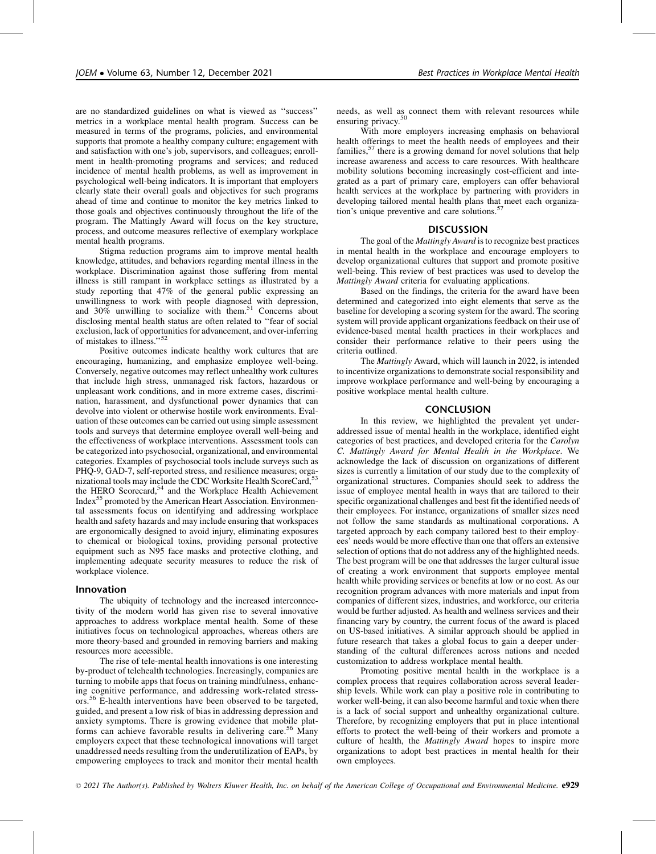are no standardized guidelines on what is viewed as ''success'' metrics in a workplace mental health program. Success can be measured in terms of the programs, policies, and environmental supports that promote a healthy company culture; engagement with and satisfaction with one's job, supervisors, and colleagues; enrollment in health-promoting programs and services; and reduced incidence of mental health problems, as well as improvement in psychological well-being indicators. It is important that employers clearly state their overall goals and objectives for such programs ahead of time and continue to monitor the key metrics linked to those goals and objectives continuously throughout the life of the program. The Mattingly Award will focus on the key structure, process, and outcome measures reflective of exemplary workplace mental health programs.

Stigma reduction programs aim to improve mental health knowledge, attitudes, and behaviors regarding mental illness in the workplace. Discrimination against those suffering from mental illness is still rampant in workplace settings as illustrated by a study reporting that 47% of the general public expressing an unwillingness to work with people diagnosed with depression, and  $30\%$  unwilling to socialize with them.<sup>51</sup> Concerns about disclosing mental health status are often related to ''fear of social exclusion, lack of opportunities for advancement, and over-inferring of mistakes to illness."<sup>52</sup>

Positive outcomes indicate healthy work cultures that are encouraging, humanizing, and emphasize employee well-being. Conversely, negative outcomes may reflect unhealthy work cultures that include high stress, unmanaged risk factors, hazardous or unpleasant work conditions, and in more extreme cases, discrimination, harassment, and dysfunctional power dynamics that can devolve into violent or otherwise hostile work environments. Evaluation of these outcomes can be carried out using simple assessment tools and surveys that determine employee overall well-being and the effectiveness of workplace interventions. Assessment tools can be categorized into psychosocial, organizational, and environmental categories. Examples of psychosocial tools include surveys such as PHQ-9, GAD-7, self-reported stress, and resilience measures; organizational tools may include the CDC Worksite Health ScoreCard,<sup>5</sup> the HERO Scorecard,<sup>54</sup> and the Workplace Health Achievement Index55 promoted by the American Heart Association. Environmental assessments focus on identifying and addressing workplace health and safety hazards and may include ensuring that workspaces are ergonomically designed to avoid injury, eliminating exposures to chemical or biological toxins, providing personal protective equipment such as N95 face masks and protective clothing, and implementing adequate security measures to reduce the risk of workplace violence.

#### Innovation

The ubiquity of technology and the increased interconnectivity of the modern world has given rise to several innovative approaches to address workplace mental health. Some of these initiatives focus on technological approaches, whereas others are more theory-based and grounded in removing barriers and making resources more accessible.

The rise of tele-mental health innovations is one interesting by-product of telehealth technologies. Increasingly, companies are turning to mobile apps that focus on training mindfulness, enhancing cognitive performance, and addressing work-related stressors.<sup>56</sup> E-health interventions have been observed to be targeted, guided, and present a low risk of bias in addressing depression and anxiety symptoms. There is growing evidence that mobile platforms can achieve favorable results in delivering care.<sup>56</sup> Many employers expect that these technological innovations will target unaddressed needs resulting from the underutilization of EAPs, by empowering employees to track and monitor their mental health needs, as well as connect them with relevant resources while ensuring privacy.<sup>50</sup>

With more employers increasing emphasis on behavioral health offerings to meet the health needs of employees and their families,<sup>57</sup> there is a growing demand for novel solutions that help increase awareness and access to care resources. With healthcare mobility solutions becoming increasingly cost-efficient and integrated as a part of primary care, employers can offer behavioral health services at the workplace by partnering with providers in developing tailored mental health plans that meet each organization's unique preventive and care solutions.<sup>57</sup>

#### **DISCUSSION**

The goal of the Mattingly Award is to recognize best practices in mental health in the workplace and encourage employers to develop organizational cultures that support and promote positive well-being. This review of best practices was used to develop the Mattingly Award criteria for evaluating applications.

Based on the findings, the criteria for the award have been determined and categorized into eight elements that serve as the baseline for developing a scoring system for the award. The scoring system will provide applicant organizations feedback on their use of evidence-based mental health practices in their workplaces and consider their performance relative to their peers using the criteria outlined.

The Mattingly Award, which will launch in 2022, is intended to incentivize organizations to demonstrate social responsibility and improve workplace performance and well-being by encouraging a positive workplace mental health culture.

# **CONCLUSION**

In this review, we highlighted the prevalent yet underaddressed issue of mental health in the workplace, identified eight categories of best practices, and developed criteria for the Carolyn C. Mattingly Award for Mental Health in the Workplace. We acknowledge the lack of discussion on organizations of different sizes is currently a limitation of our study due to the complexity of organizational structures. Companies should seek to address the issue of employee mental health in ways that are tailored to their specific organizational challenges and best fit the identified needs of their employees. For instance, organizations of smaller sizes need not follow the same standards as multinational corporations. A targeted approach by each company tailored best to their employees' needs would be more effective than one that offers an extensive selection of options that do not address any of the highlighted needs. The best program will be one that addresses the larger cultural issue of creating a work environment that supports employee mental health while providing services or benefits at low or no cost. As our recognition program advances with more materials and input from companies of different sizes, industries, and workforce, our criteria would be further adjusted. As health and wellness services and their financing vary by country, the current focus of the award is placed on US-based initiatives. A similar approach should be applied in future research that takes a global focus to gain a deeper understanding of the cultural differences across nations and needed customization to address workplace mental health.

Promoting positive mental health in the workplace is a complex process that requires collaboration across several leadership levels. While work can play a positive role in contributing to worker well-being, it can also become harmful and toxic when there is a lack of social support and unhealthy organizational culture. Therefore, by recognizing employers that put in place intentional efforts to protect the well-being of their workers and promote a culture of health, the *Mattingly Award* hopes to inspire more organizations to adopt best practices in mental health for their own employees.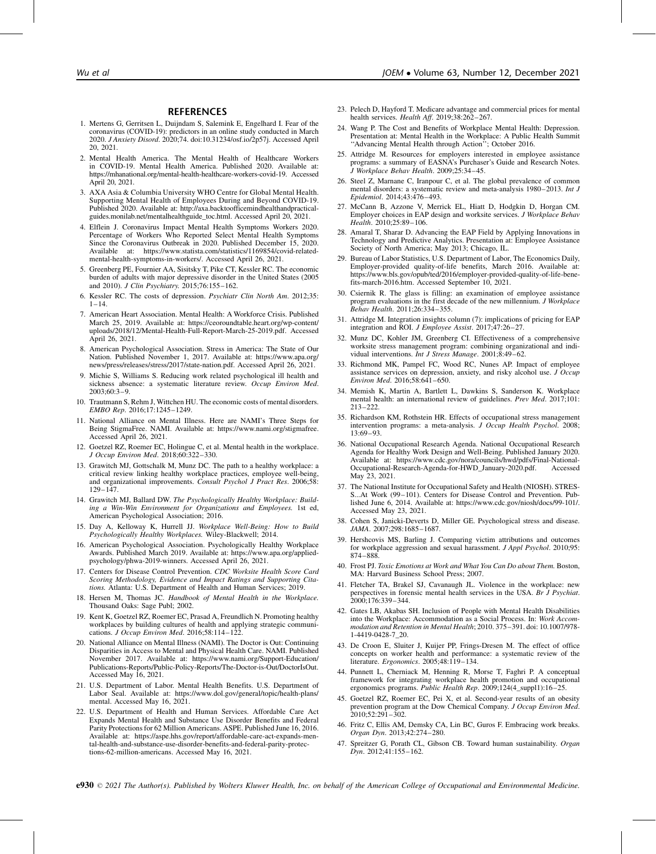#### **REFERENCES**

- 1. Mertens G, Gerritsen L, Duijndam S, Salemink E, Engelhard I. Fear of the coronavirus (COVID-19): predictors in an online study conducted in March 2020. J Anxiety Disord. 2020;74. doi:10.31234/osf.io/2p57j. Accessed April 20, 2021.
- 2. Mental Health America. The Mental Health of Healthcare Workers in COVID-19. Mental Health America. Published 2020. Available at: [https://mhanational.org/mental-health-healthcare-workers-covid-19. Accessed](https://mhanational.org/mental-health-healthcare-workers-covid-19) [April 20, 2021.](https://mhanational.org/mental-health-healthcare-workers-covid-19)
- 3. AXA Asia & Columbia University WHO Centre for Global Mental Health. Supporting Mental Health of Employees During and Beyond COVID-19. Published 2020. Available at: [http://axa.backtoofficemindhealthandpractical](http://axa.backtoofficemindhealthandpracticalguides.monilab.net/mentalhealthguide_toc.html)[guides.monilab.net/mentalhealthguide\\_toc.html. Accessed April 20, 2021.](http://axa.backtoofficemindhealthandpracticalguides.monilab.net/mentalhealthguide_toc.html)
- 4. Elflein J. Coronavirus Impact Mental Health Symptoms Workers 2020. Percentage of Workers Who Reported Select Mental Health Symptoms Since the Coronavirus Outbreak in 2020. Published December 15, 2020. Available at: [https://www.statista.com/statistics/1169854/covid-related](https://www.statista.com/statistics/1169854/covid-related-mental-health-symptoms-in-workers)[mental-health-symptoms-in-workers/. Accessed April 26, 2021.](https://www.statista.com/statistics/1169854/covid-related-mental-health-symptoms-in-workers)
- 5. Greenberg PE, Fournier AA, Sisitsky T, Pike CT, Kessler RC. The economic burden of adults with major depressive disorder in the United States (2005 and 2010). J Clin Psychiatry. 2015;76:155-162.
- 6. Kessler RC. The costs of depression. Psychiatr Clin North Am. 2012;35:  $1 - 14.$
- 7. American Heart Association. Mental Health: A Workforce Crisis. Published March 25, 2019. Available at: [https://ceoroundtable.heart.org/wp-content/](https://ceoroundtable.heart.org/wp-content/uploads/2018/12/Mental-Health-Full-Report-March-25-2019.pdf) [uploads/2018/12/Mental-Health-Full-Report-March-25-2019.pdf. Accessed](https://ceoroundtable.heart.org/wp-content/uploads/2018/12/Mental-Health-Full-Report-March-25-2019.pdf) [April 26, 2021.](https://ceoroundtable.heart.org/wp-content/uploads/2018/12/Mental-Health-Full-Report-March-25-2019.pdf)
- 8. American Psychological Association. Stress in America: The State of Our Nation. Published November 1, 2017. Available at: [https://www.apa.org/](https://www.apa.org/news/press/releases/stress/2017/state-nation.pdf) [news/press/releases/stress/2017/state-nation.pdf. Accessed April 26, 2021.](https://www.apa.org/news/press/releases/stress/2017/state-nation.pdf)
- 9. Michie S, Williams S. Reducing work related psychological ill health and sickness absence: a systematic literature review. Occup Environ Med. 2003;60:3–9.
- 10. Trautmann S, Rehm J, Wittchen HU. The economic costs of mental disorders. EMBO Rep. 2016;17:1245–1249.
- 11. National Alliance on Mental Illness. Here are NAMI's Three Steps for Being StigmaFree. NAMI. Available at: [https://www.nami.org/stigmafree.](https://www.nami.org/stigmafree) [Accessed April 26, 2021.](https://www.nami.org/stigmafree)
- 12. Goetzel RZ, Roemer EC, Holingue C, et al. Mental health in the workplace. J Occup Environ Med. 2018;60:322–330.
- 13. Grawitch MJ, Gottschalk M, Munz DC. The path to a healthy workplace: a critical review linking healthy workplace practices, employee well-being, and organizational improvements. Consult Psychol J Pract Res. 2006;58: 129–147.
- 14. Grawitch MJ, Ballard DW. The Psychologically Healthy Workplace: Building a Win-Win Environment for Organizations and Employees. 1st ed, American Psychological Association; 2016.
- 15. Day A, Kelloway K, Hurrell JJ. Workplace Well-Being: How to Build Psychologically Healthy Workplaces. Wiley-Blackwell; 2014.
- 16. American Psychological Association. Psychologically Healthy Workplace Awards. Published March 2019. Available at: [https://www.apa.org/applied](https://www.apa.org/applied-psychology/phwa-2019-winners)[psychology/phwa-2019-winners. Accessed April 26, 2021.](https://www.apa.org/applied-psychology/phwa-2019-winners)
- 17. Centers for Disease Control Prevention. CDC Worksite Health Score Card Scoring Methodology, Evidence and Impact Ratings and Supporting Citations. Atlanta: U.S. Department of Health and Human Services; 2019.
- 18. Hersen M, Thomas JC. Handbook of Mental Health in the Workplace. Thousand Oaks: Sage Publ; 2002.
- 19. Kent K, Goetzel RZ, Roemer EC, Prasad A, Freundlich N. Promoting healthy workplaces by building cultures of health and applying strategic communications. J Occup Environ Med. 2016;58:114-122.
- 20. National Alliance on Mental Illness (NAMI). The Doctor is Out: Continuing Disparities in Access to Mental and Physical Health Care. NAMI. Published November 2017. Available at: [https://www.nami.org/Support-Education/](https://www.nami.org/Support-Education/Publications-Reports/Public-Policy-Reports/The-Doctor-is-Out/DoctorIsOut) [Publications-Reports/Public-Policy-Reports/The-Doctor-is-Out/DoctorIsOut.](https://www.nami.org/Support-Education/Publications-Reports/Public-Policy-Reports/The-Doctor-is-Out/DoctorIsOut) [Accessed May 16, 2021.](https://www.nami.org/Support-Education/Publications-Reports/Public-Policy-Reports/The-Doctor-is-Out/DoctorIsOut)
- 21. U.S. Department of Labor. Mental Health Benefits. U.S. Department of Labor Seal. Available at: [https://www.dol.gov/general/topic/health-plans/](https://www.dol.gov/general/topic/health-plans/mental) [mental. Accessed May 16, 2021.](https://www.dol.gov/general/topic/health-plans/mental)
- 22. U.S. Department of Health and Human Services. Affordable Care Act Expands Mental Health and Substance Use Disorder Benefits and Federal Parity Protections for 62 Million Americans. ASPE. Published June 16, 2016. Available at: [https://aspe.hhs.gov/report/affordable-care-act-expands-men](https://aspe.hhs.gov/report/affordable-care-act-expands-mental-health-and-substance-use-disorder-benefits-and-federal-parity-protections-62-million-americans)[tal-health-and-substance-use-disorder-benefits-and-federal-parity-protec](https://aspe.hhs.gov/report/affordable-care-act-expands-mental-health-and-substance-use-disorder-benefits-and-federal-parity-protections-62-million-americans)[tions-62-million-americans. Accessed May 16, 2021.](https://aspe.hhs.gov/report/affordable-care-act-expands-mental-health-and-substance-use-disorder-benefits-and-federal-parity-protections-62-million-americans)
- 23. Pelech D, Hayford T. Medicare advantage and commercial prices for mental health services. Health Aff. 2019;38:262–267.
- 24. Wang P. The Cost and Benefits of Workplace Mental Health: Depression. Presentation at: Mental Health in the Workplace: A Public Health Summit "Advancing Mental Health through Action"; October 2016.
- 25. Attridge M. Resources for employers interested in employee assistance programs: a summary of EASNA's Purchaser's Guide and Research Notes.<br>J Workplace Behav Health. 2009;25:34-45.
- 26. Steel Z, Marnane C, Iranpour C, et al. The global prevalence of common mental disorders: a systematic review and meta-analysis 1980–2013. Int J Epidemiol. 2014;43:476–493.
- 27. McCann B, Azzone V, Merrick EL, Hiatt D, Hodgkin D, Horgan CM. Employer choices in EAP design and worksite services. J Workplace Behav  $Hea$ lth. 2010;25:89–106.
- 28. Amaral T, Sharar D. Advancing the EAP Field by Applying Innovations in Technology and Predictive Analytics. Presentation at: Employee Assistance Society of North America; May 2013; Chicago, IL.
- 29. Bureau of Labor Statistics, U.S. Department of Labor, The Economics Daily, Employer-provided quality-of-life benefits, March 2016. Available at: [https://www.bls.gov/opub/ted/2016/employer-provided-quality-of-life-bene](https://www.bls.gov/opub/ted/2016/employer-provided-quality-of-life-benefits-march-2016.htm)[fits-march-2016.htm. Accessed September 10, 2021.](https://www.bls.gov/opub/ted/2016/employer-provided-quality-of-life-benefits-march-2016.htm)
- 30. Csiernik R. The glass is filling: an examination of employee assistance program evaluations in the first decade of the new millennium. J Workplace Behav Health. 2011;26:334–355.
- 31. Attridge M. Integration insights column (7): implications of pricing for EAP integration and ROI. J Employee Assist. 2017;47:26–27.
- 32. Munz DC, Kohler JM, Greenberg CI. Effectiveness of a comprehensive worksite stress management program: combining organizational and individual interventions. Int J Stress Manage. 2001;8:49-62.
- 33. Richmond MK, Pampel FC, Wood RC, Nunes AP. Impact of employee assistance services on depression, anxiety, and risky alcohol use. J Occup Environ Med. 2016;58:641–650.
- 34. Memish K, Martin A, Bartlett L, Dawkins S, Sanderson K. Workplace mental health: an international review of guidelines. Prev Med. 2017;101: 213–222.
- 35. Richardson KM, Rothstein HR. Effects of occupational stress management intervention programs: a meta-analysis. J Occup Health Psychol. 2008; 13:69–93.
- 36. National Occupational Research Agenda. National Occupational Research Agenda for Healthy Work Design and Well-Being. Published January 2020. Available at: [https://www.cdc.gov/nora/councils/hwd/pdfs/Final-National-](https://www.cdc.gov/nora/councils/hwd/pdfs/Final-National-Occupational-Research-Agenda-for-HWD_January-2020.pdf)[Occupational-Research-Agenda-for-HWD\\_January-2020.pdf. Accessed](https://www.cdc.gov/nora/councils/hwd/pdfs/Final-National-Occupational-Research-Agenda-for-HWD_January-2020.pdf) [May 23, 2021.](https://www.cdc.gov/nora/councils/hwd/pdfs/Final-National-Occupational-Research-Agenda-for-HWD_January-2020.pdf)
- 37. The National Institute for Occupational Safety and Health (NIOSH). STRES-S...At Work (99–101). Centers for Disease Control and Prevention. Published June 6, 2014. Available at: [https://www.cdc.gov/niosh/docs/99-101/.](https://www.cdc.gov/niosh/docs/99-101/) [Accessed May 23, 2021.](https://www.cdc.gov/niosh/docs/99-101/)
- 38. Cohen S, Janicki-Deverts D, Miller GE. Psychological stress and disease. JAMA. 2007;298:1685–1687.
- 39. Hershcovis MS, Barling J. Comparing victim attributions and outcomes for workplace aggression and sexual harassment. J Appl Psychol. 2010;95: 874–888.
- 40. Frost PJ. Toxic Emotions at Work and What You Can Do about Them. Boston, MA: Harvard Business School Press; 2007.
- 41. Fletcher TA, Brakel SJ, Cavanaugh JL. Violence in the workplace: new perspectives in forensic mental health services in the USA. *Br J Psychiat*.<br>2000;176:339–344.
- 42. Gates LB, Akabas SH. Inclusion of People with Mental Health Disabilities into the Workplace: Accommodation as a Social Process. In: Work Accommodation and Retention in Mental Health; 2010. 375–391. doi: 10.1007/978- 1-4419-0428-7\_20.
- 43. De Croon E, Sluiter J, Kuijer PP, Frings-Dresen M. The effect of office concepts on worker health and performance: a systematic review of the literature. Ergonomics. 2005;48:119–134.
- 44. Punnett L, Cherniack M, Henning R, Morse T, Faghri P. A conceptual framework for integrating workplace health promotion and occupational ergonomics programs. Public Health Rep. 2009;124(4\_suppl1):16-25
- 45. Goetzel RZ, Roemer EC, Pei X, et al. Second-year results of an obesity prevention program at the Dow Chemical Company. *J Occup Environ Med.*<br>2010;52:291–302.
- 46. Fritz C, Ellis AM, Demsky CA, Lin BC, Guros F. Embracing work breaks. Organ Dyn. 2013;42:274–280.
- 47. Spreitzer G, Porath CL, Gibson CB. Toward human sustainability. Organ Dyn. 2012;41:155–162.